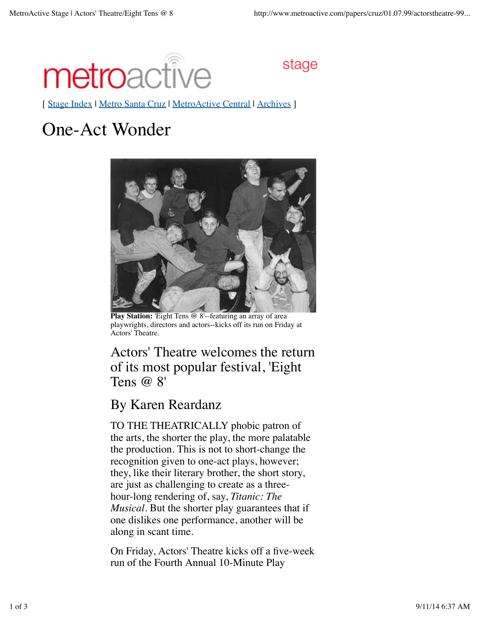

stage

[ Stage Index | Metro Santa Cruz | MetroActive Central | Archives |

## One-Act Wonder



**Play Station:** 'Eight Tens @ 8'--featuring an array of area playwrights, directors and actors--kicks off its run on Friday at Actors' Theatre.

Actors' Theatre welcomes the return of its most popular festival, 'Eight Tens @ 8'

## By Karen Reardanz

TO THE THEATRICALLY phobic patron of the arts, the shorter the play, the more palatable the production. This is not to short-change the recognition given to one-act plays, however; they, like their literary brother, the short story, are just as challenging to create as a threehour-long rendering of, say, *Titanic: The Musical*. But the shorter play guarantees that if one dislikes one performance, another will be along in scant time.

On Friday, Actors' Theatre kicks off a five-week run of the Fourth Annual 10-Minute Play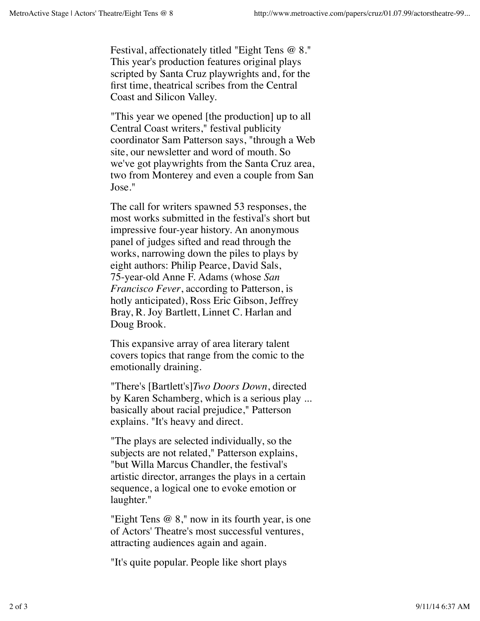Festival, affectionately titled "Eight Tens @ 8." This year's production features original plays scripted by Santa Cruz playwrights and, for the first time, theatrical scribes from the Central Coast and Silicon Valley.

"This year we opened [the production] up to all Central Coast writers," festival publicity coordinator Sam Patterson says, "through a Web site, our newsletter and word of mouth. So we've got playwrights from the Santa Cruz area, two from Monterey and even a couple from San Jose."

The call for writers spawned 53 responses, the most works submitted in the festival's short but impressive four-year history. An anonymous panel of judges sifted and read through the works, narrowing down the piles to plays by eight authors: Philip Pearce, David Sals, 75-year-old Anne F. Adams (whose *San Francisco Fever*, according to Patterson, is hotly anticipated), Ross Eric Gibson, Jeffrey Bray, R. Joy Bartlett, Linnet C. Harlan and Doug Brook.

This expansive array of area literary talent covers topics that range from the comic to the emotionally draining.

"There's [Bartlett's]*Two Doors Down*, directed by Karen Schamberg, which is a serious play ... basically about racial prejudice," Patterson explains. "It's heavy and direct.

"The plays are selected individually, so the subjects are not related," Patterson explains, "but Willa Marcus Chandler, the festival's artistic director, arranges the plays in a certain sequence, a logical one to evoke emotion or laughter."

"Eight Tens @ 8," now in its fourth year, is one of Actors' Theatre's most successful ventures, attracting audiences again and again.

"It's quite popular. People like short plays